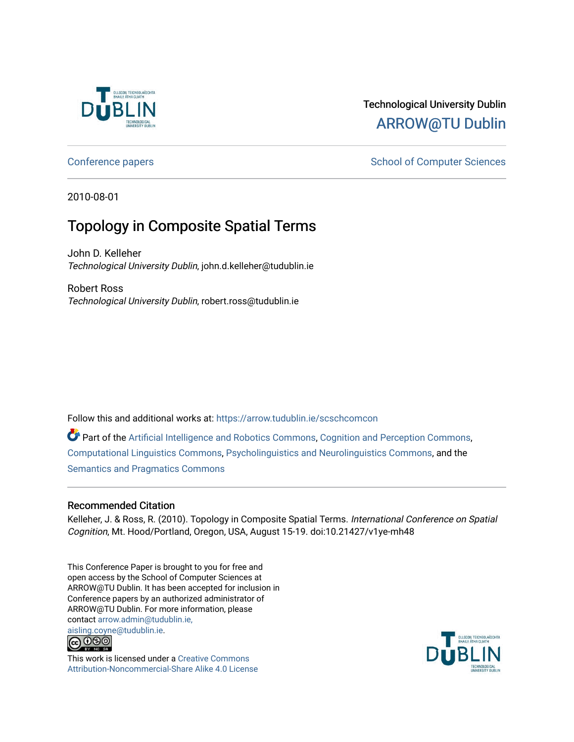

# Technological University Dublin [ARROW@TU Dublin](https://arrow.tudublin.ie/)

## [Conference papers](https://arrow.tudublin.ie/scschcomcon) **School of Computer Sciences** School of Computer Sciences

2010-08-01

# Topology in Composite Spatial Terms

John D. Kelleher Technological University Dublin, john.d.kelleher@tudublin.ie

Robert Ross Technological University Dublin, robert.ross@tudublin.ie

Follow this and additional works at: [https://arrow.tudublin.ie/scschcomcon](https://arrow.tudublin.ie/scschcomcon?utm_source=arrow.tudublin.ie%2Fscschcomcon%2F69&utm_medium=PDF&utm_campaign=PDFCoverPages)

Part of the [Artificial Intelligence and Robotics Commons](http://network.bepress.com/hgg/discipline/143?utm_source=arrow.tudublin.ie%2Fscschcomcon%2F69&utm_medium=PDF&utm_campaign=PDFCoverPages), [Cognition and Perception Commons](http://network.bepress.com/hgg/discipline/407?utm_source=arrow.tudublin.ie%2Fscschcomcon%2F69&utm_medium=PDF&utm_campaign=PDFCoverPages), [Computational Linguistics Commons,](http://network.bepress.com/hgg/discipline/375?utm_source=arrow.tudublin.ie%2Fscschcomcon%2F69&utm_medium=PDF&utm_campaign=PDFCoverPages) [Psycholinguistics and Neurolinguistics Commons](http://network.bepress.com/hgg/discipline/382?utm_source=arrow.tudublin.ie%2Fscschcomcon%2F69&utm_medium=PDF&utm_campaign=PDFCoverPages), and the [Semantics and Pragmatics Commons](http://network.bepress.com/hgg/discipline/383?utm_source=arrow.tudublin.ie%2Fscschcomcon%2F69&utm_medium=PDF&utm_campaign=PDFCoverPages) 

### Recommended Citation

Kelleher, J. & Ross, R. (2010). Topology in Composite Spatial Terms. International Conference on Spatial Cognition, Mt. Hood/Portland, Oregon, USA, August 15-19. doi:10.21427/v1ye-mh48

This Conference Paper is brought to you for free and open access by the School of Computer Sciences at ARROW@TU Dublin. It has been accepted for inclusion in Conference papers by an authorized administrator of ARROW@TU Dublin. For more information, please contact [arrow.admin@tudublin.ie,](mailto:arrow.admin@tudublin.ie,%20aisling.coyne@tudublin.ie)  [aisling.coyne@tudublin.ie.](mailto:arrow.admin@tudublin.ie,%20aisling.coyne@tudublin.ie)<br>@ 000



This work is licensed under a [Creative Commons](http://creativecommons.org/licenses/by-nc-sa/4.0/) [Attribution-Noncommercial-Share Alike 4.0 License](http://creativecommons.org/licenses/by-nc-sa/4.0/)

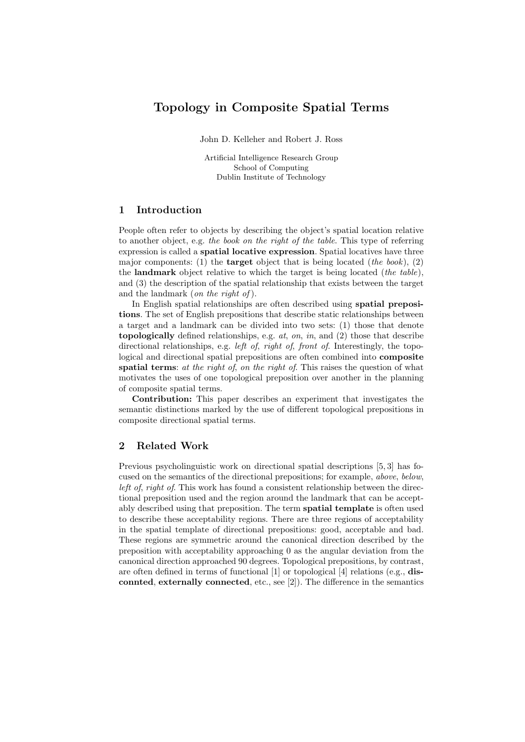## Topology in Composite Spatial Terms

John D. Kelleher and Robert J. Ross

Artificial Intelligence Research Group School of Computing Dublin Institute of Technology

#### 1 Introduction

People often refer to objects by describing the object's spatial location relative to another object, e.g. the book on the right of the table. This type of referring expression is called a spatial locative expression. Spatial locatives have three major components: (1) the **target** object that is being located (the book), (2) the **landmark** object relative to which the target is being located (the table), and (3) the description of the spatial relationship that exists between the target and the landmark (*on the right of*).

In English spatial relationships are often described using spatial prepositions. The set of English prepositions that describe static relationships between a target and a landmark can be divided into two sets: (1) those that denote topologically defined relationships, e.g.  $at, on, in, and (2)$  those that describe directional relationships, e.g. *left of, right of, front of.* Interestingly, the topological and directional spatial prepositions are often combined into composite spatial terms: at the right of, on the right of. This raises the question of what motivates the uses of one topological preposition over another in the planning of composite spatial terms.

Contribution: This paper describes an experiment that investigates the semantic distinctions marked by the use of different topological prepositions in composite directional spatial terms.

#### 2 Related Work

Previous psycholinguistic work on directional spatial descriptions [5, 3] has focused on the semantics of the directional prepositions; for example, above, below, left of, right of. This work has found a consistent relationship between the directional preposition used and the region around the landmark that can be acceptably described using that preposition. The term spatial template is often used to describe these acceptability regions. There are three regions of acceptability in the spatial template of directional prepositions: good, acceptable and bad. These regions are symmetric around the canonical direction described by the preposition with acceptability approaching 0 as the angular deviation from the canonical direction approached 90 degrees. Topological prepositions, by contrast, are often defined in terms of functional [1] or topological [4] relations (e.g., disconnted, externally connected, etc., see [2]). The difference in the semantics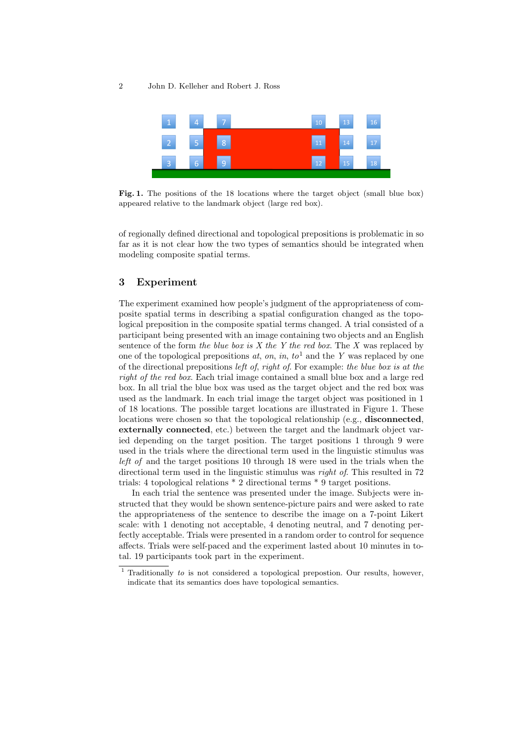#### 2 John D. Kelleher and Robert J. Ross



Fig. 1. The positions of the 18 locations where the target object (small blue box) appeared relative to the landmark object (large red box).

of regionally defined directional and topological prepositions is problematic in so far as it is not clear how the two types of semantics should be integrated when modeling composite spatial terms.

#### 3 Experiment

The experiment examined how people's judgment of the appropriateness of composite spatial terms in describing a spatial configuration changed as the topological preposition in the composite spatial terms changed. A trial consisted of a participant being presented with an image containing two objects and an English sentence of the form the blue box is X the Y the red box. The X was replaced by one of the topological prepositions at, on, in,  $to^1$  and the Y was replaced by one of the directional prepositions left of, right of. For example: the blue box is at the right of the red box. Each trial image contained a small blue box and a large red box. In all trial the blue box was used as the target object and the red box was used as the landmark. In each trial image the target object was positioned in 1 of 18 locations. The possible target locations are illustrated in Figure 1. These locations were chosen so that the topological relationship (e.g., **disconnected**, externally connected, etc.) between the target and the landmark object varied depending on the target position. The target positions 1 through 9 were used in the trials where the directional term used in the linguistic stimulus was left of and the target positions 10 through 18 were used in the trials when the directional term used in the linguistic stimulus was *right of*. This resulted in 72 trials: 4 topological relations \* 2 directional terms \* 9 target positions.

In each trial the sentence was presented under the image. Subjects were instructed that they would be shown sentence-picture pairs and were asked to rate the appropriateness of the sentence to describe the image on a 7-point Likert scale: with 1 denoting not acceptable, 4 denoting neutral, and 7 denoting perfectly acceptable. Trials were presented in a random order to control for sequence affects. Trials were self-paced and the experiment lasted about 10 minutes in total. 19 participants took part in the experiment.

 $1$  Traditionally to is not considered a topological prepostion. Our results, however, indicate that its semantics does have topological semantics.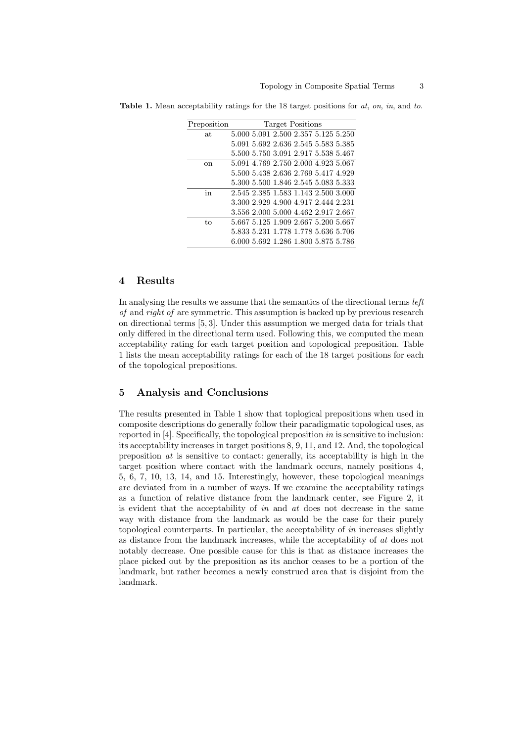| Preposition | <b>Target Positions</b>             |
|-------------|-------------------------------------|
| at          | 5.000 5.091 2.500 2.357 5.125 5.250 |
|             | 5.091 5.692 2.636 2.545 5.583 5.385 |
|             | 5.500 5.750 3.091 2.917 5.538 5.467 |
| οn          | 5.091 4.769 2.750 2.000 4.923 5.067 |
|             | 5.500 5.438 2.636 2.769 5.417 4.929 |
|             | 5.300 5.500 1.846 2.545 5.083 5.333 |
| in          | 2.545 2.385 1.583 1.143 2.500 3.000 |
|             | 3.300 2.929 4.900 4.917 2.444 2.231 |
|             | 3.556 2.000 5.000 4.462 2.917 2.667 |
| to          | 5.667 5.125 1.909 2.667 5.200 5.667 |
|             | 5.833 5.231 1.778 1.778 5.636 5.706 |
|             | 6.000 5.692 1.286 1.800 5.875 5.786 |

**Table 1.** Mean acceptability ratings for the 18 target positions for  $at$ ,  $on$ ,  $in$ , and  $to$ .

#### 4 Results

In analysing the results we assume that the semantics of the directional terms left of and right of are symmetric. This assumption is backed up by previous research on directional terms [5, 3]. Under this assumption we merged data for trials that only differed in the directional term used. Following this, we computed the mean acceptability rating for each target position and topological preposition. Table 1 lists the mean acceptability ratings for each of the 18 target positions for each of the topological prepositions.

#### 5 Analysis and Conclusions

The results presented in Table 1 show that toplogical prepositions when used in composite descriptions do generally follow their paradigmatic topological uses, as reported in  $[4]$ . Specifically, the topological preposition *in* is sensitive to inclusion: its acceptability increases in target positions 8, 9, 11, and 12. And, the topological preposition at is sensitive to contact: generally, its acceptability is high in the target position where contact with the landmark occurs, namely positions 4, 5, 6, 7, 10, 13, 14, and 15. Interestingly, however, these topological meanings are deviated from in a number of ways. If we examine the acceptability ratings as a function of relative distance from the landmark center, see Figure 2, it is evident that the acceptability of in and at does not decrease in the same way with distance from the landmark as would be the case for their purely topological counterparts. In particular, the acceptability of in increases slightly as distance from the landmark increases, while the acceptability of at does not notably decrease. One possible cause for this is that as distance increases the place picked out by the preposition as its anchor ceases to be a portion of the landmark, but rather becomes a newly construed area that is disjoint from the landmark.